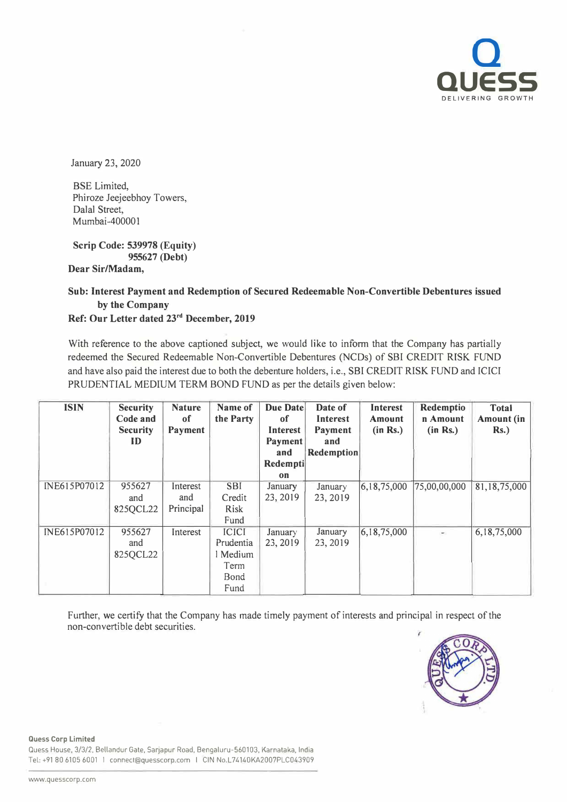

January 23, 2020

BSE Limited, Phiroze Jeejeebhoy Towers, Dalal Street, Mumbai-400001

**Scrip Code: 539978 (Equity) 955627 (Debt)**

## **Dear Sir/Madam,**

## **Sub: Interest Payment and Redemption of Secured Redeemable Non-Convertible Debentures issued by the Company**

## **Ref: Our Letter dated 23rd December, 2019**

With reference to the above captioned subject, we would like to inform that the Company has partially redeemed the Secured Redeemable Non-Convertible Debentures (NCDs) of SBI CREDIT RISK FUND and have also paid the interest due to both the debenture holders, i.e., SBI CREDIT RISK FUND and ICICI PRUDENTIAL MEDIUM TERM BOND FUND as per the details given below:

| <b>ISIN</b>  | <b>Security</b><br>Code and<br><b>Security</b><br>ID | <b>Nature</b><br>of<br>Payment | Name of<br>the Party                                          | Due Date<br><sub>of</sub><br><b>Interest</b><br><b>Payment</b> | Date of<br>Interest<br><b>Payment</b><br>and | Interest<br>Amount<br>(in Rs.) | Redemptio<br>n Amount<br>(in Rs.) | <b>Total</b><br><b>Amount</b> (in<br>$Rs.$ ) |
|--------------|------------------------------------------------------|--------------------------------|---------------------------------------------------------------|----------------------------------------------------------------|----------------------------------------------|--------------------------------|-----------------------------------|----------------------------------------------|
|              |                                                      |                                |                                                               | and<br>Redempti                                                | <b>Redemption</b>                            |                                |                                   |                                              |
|              |                                                      |                                |                                                               | on                                                             |                                              |                                |                                   |                                              |
| INE615P07012 | 955627<br>and<br>825QCL22                            | Interest<br>and<br>Principal   | <b>SBI</b><br>Credit<br>Risk<br>Fund                          | January<br>23, 2019                                            | January<br>23, 2019                          | 6,18,75,000                    | 75,00,00,000                      | 81,18,75,000                                 |
| INE615P07012 | 955627<br>and<br>825QCL22                            | Interest                       | <b>ICICI</b><br>Prudentia<br>l Medium<br>Term<br>Bond<br>Fund | January<br>23, 2019                                            | January<br>23, 2019                          | 6,18,75,000                    |                                   | 6,18,75,000                                  |

Further, we certify that the Company has made timely payment of interests and principal in respect of the non-convertible debt securities.



**Quess Corp Limited** 

Quess House, 3/3/2, Bellandur Gate, Sarjapur Road, Bengaluru-560103, Karnataka, India Tel: +91 80 6105 6001 I connect@lquesscorp.com I CIN No.L74140KA2007PLC043909